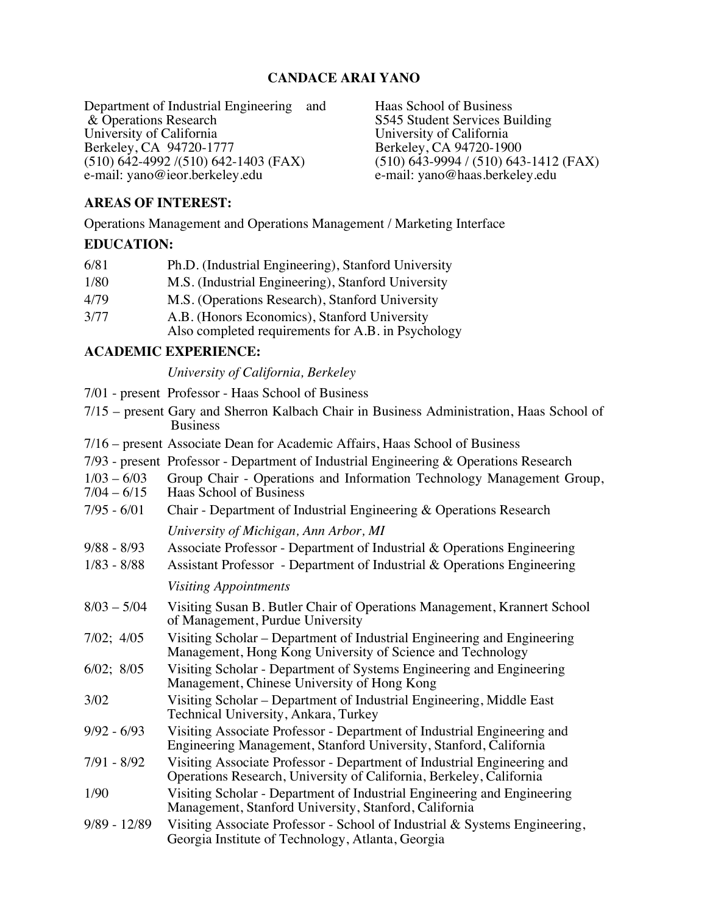# **CANDACE ARAI YANO**

Department of Industrial Engineering and Haas School of Business & Operations Research S545 Student Services Bu University of California University of California Berkeley, CA 94720-1777<br>(510) 642-4992 /(510) 642-1403 (FAX) (510) 642-4992 /(510) 642-1403 (FAX) (510) 643-9994 / (510) 643-1412 (FAX) e-mail: yano@ieor.berkeley.edu e-mail: yano@haas.berkeley.edu

S545 Student Services Building<br>University of California e-mail: yano@haas.berkeley.edu

# **AREAS OF INTEREST:**

Operations Management and Operations Management / Marketing Interface

# **EDUCATION:**

| 6/81 | Ph.D. (Industrial Engineering), Stanford University                                                |
|------|----------------------------------------------------------------------------------------------------|
| 1/80 | M.S. (Industrial Engineering), Stanford University                                                 |
| 4/79 | M.S. (Operations Research), Stanford University                                                    |
| 3/77 | A.B. (Honors Economics), Stanford University<br>Also completed requirements for A.B. in Psychology |

# **ACADEMIC EXPERIENCE:**

#### *University of California, Berkeley*

7/01 - present Professor - Haas School of Business

|                 |  |  | 7/15 – present Gary and Sherron Kalbach Chair in Business Administration, Haas School of |  |
|-----------------|--|--|------------------------------------------------------------------------------------------|--|
| <b>Business</b> |  |  |                                                                                          |  |

- 7/16 present Associate Dean for Academic Affairs, Haas School of Business
- 7/93 present Professor Department of Industrial Engineering & Operations Research
- 1/03 6/03 Group Chair Operations and Information Technology Management Group,<br>7/04 6/15 Haas School of Business
- Haas School of Business
- 7/95 6/01 Chair Department of Industrial Engineering & Operations Research *University of Michigan, Ann Arbor, MI*
- 9/88 8/93 Associate Professor Department of Industrial & Operations Engineering
- 1/83 8/88 Assistant Professor Department of Industrial & Operations Engineering *Visiting Appointments*
- 8/03 5/04 Visiting Susan B. Butler Chair of Operations Management, Krannert School of Management, Purdue University
- 7/02; 4/05 Visiting Scholar Department of Industrial Engineering and Engineering Management, Hong Kong University of Science and Technology
- 6/02; 8/05 Visiting Scholar Department of Systems Engineering and Engineering Management, Chinese University of Hong Kong
- 3/02 Visiting Scholar Department of Industrial Engineering, Middle East Technical University, Ankara, Turkey
- 9/92 6/93 Visiting Associate Professor Department of Industrial Engineering and Engineering Management, Stanford University, Stanford, California
- 7/91 8/92 Visiting Associate Professor Department of Industrial Engineering and Operations Research, University of California, Berkeley, California
- 1/90 Visiting Scholar Department of Industrial Engineering and Engineering Management, Stanford University, Stanford, California
- 9/89 12/89 Visiting Associate Professor School of Industrial & Systems Engineering, Georgia Institute of Technology, Atlanta, Georgia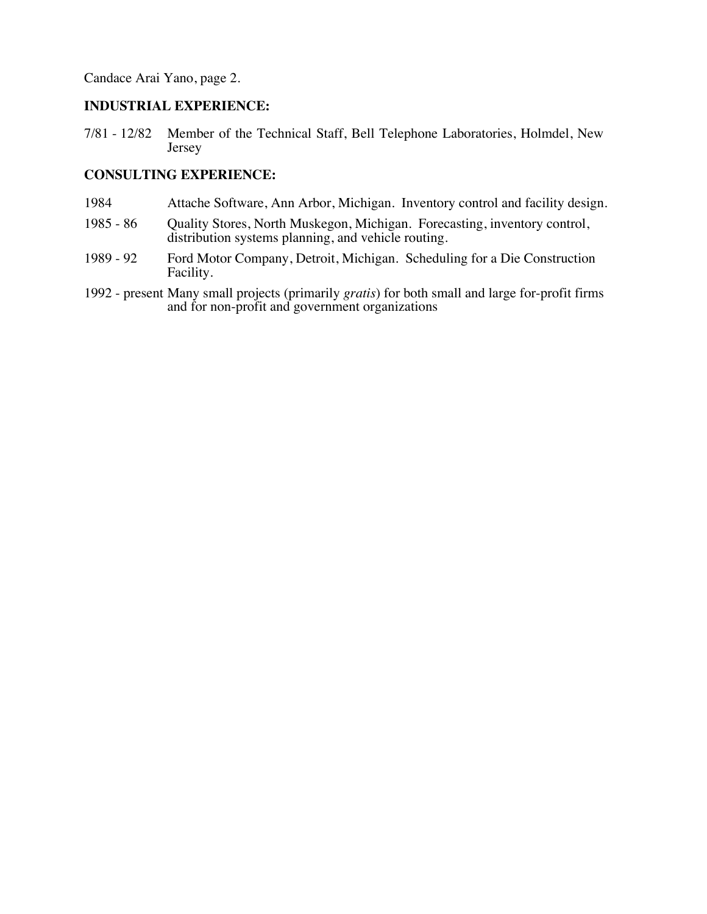### **INDUSTRIAL EXPERIENCE:**

7/81 - 12/82 Member of the Technical Staff, Bell Telephone Laboratories, Holmdel, New Jersey

## **CONSULTING EXPERIENCE:**

- 1984 Attache Software, Ann Arbor, Michigan. Inventory control and facility design.
- 1985 86 Quality Stores, North Muskegon, Michigan. Forecasting, inventory control, distribution systems planning, and vehicle routing.
- 1989 92 Ford Motor Company, Detroit, Michigan. Scheduling for a Die Construction Facility.
- 1992 present Many small projects (primarily *gratis*) for both small and large for-profit firms and for non-profit and government organizations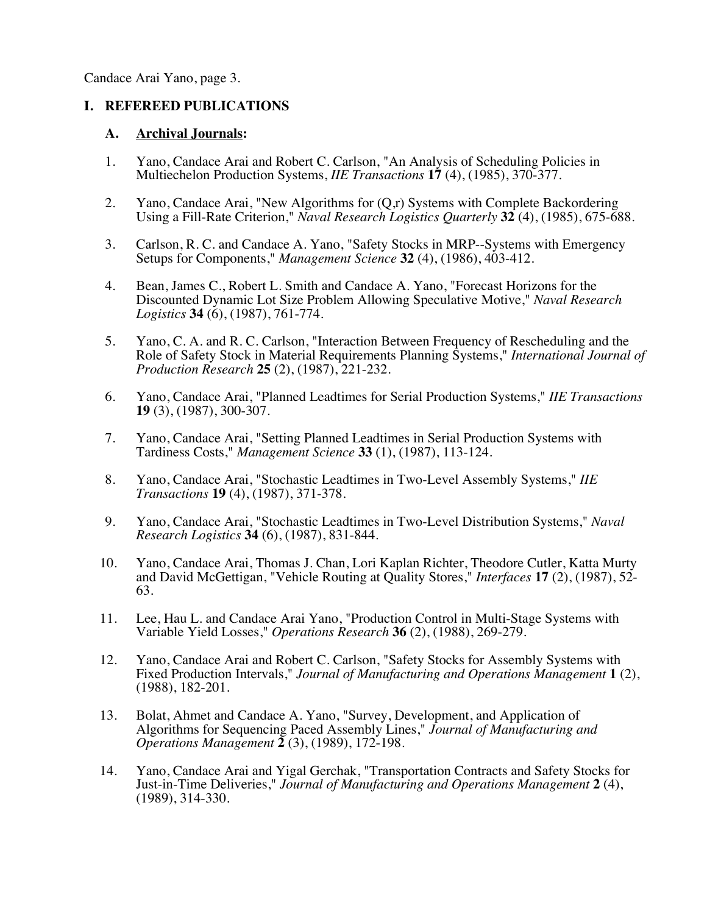# **I. REFEREED PUBLICATIONS**

### **A. Archival Journals:**

- 1. Yano, Candace Arai and Robert C. Carlson, "An Analysis of Scheduling Policies in Multiechelon Production Systems, *IIE Transactions* **17** (4), (1985), 370-377.
- 2. Yano, Candace Arai, "New Algorithms for (Q,r) Systems with Complete Backordering Using a Fill-Rate Criterion," *Naval Research Logistics Quarterly* **32** (4), (1985), 675-688*.*
- 3. Carlson, R. C. and Candace A. Yano, "Safety Stocks in MRP--Systems with Emergency Setups for Components," *Management Science* **32** (4), (1986), 403-412.
- 4. Bean, James C., Robert L. Smith and Candace A. Yano, "Forecast Horizons for the Discounted Dynamic Lot Size Problem Allowing Speculative Motive," *Naval Research Logistics* **34** (6), (1987), 761-774.
- 5. Yano, C. A. and R. C. Carlson, "Interaction Between Frequency of Rescheduling and the Role of Safety Stock in Material Requirements Planning Systems," *International Journal of Production Research* **25** (2), (1987), 221-232.
- 6. Yano, Candace Arai, "Planned Leadtimes for Serial Production Systems," *IIE Transactions* **19** (3), (1987), 300-307.
- 7. Yano, Candace Arai, "Setting Planned Leadtimes in Serial Production Systems with Tardiness Costs," *Management Science* **33** (1), (1987), 113-124.
- 8. Yano, Candace Arai, "Stochastic Leadtimes in Two-Level Assembly Systems," *IIE Transactions* **19** (4), (1987), 371-378.
- 9. Yano, Candace Arai, "Stochastic Leadtimes in Two-Level Distribution Systems," *Naval Research Logistics* **34** (6), (1987), 831-844.
- 10. Yano, Candace Arai, Thomas J. Chan, Lori Kaplan Richter, Theodore Cutler, Katta Murty and David McGettigan, "Vehicle Routing at Quality Stores," *Interfaces* **17** (2), (1987), 52- 63.
- 11. Lee, Hau L. and Candace Arai Yano, "Production Control in Multi-Stage Systems with Variable Yield Losses," *Operations Research* **36** (2), (1988), 269-279.
- 12. Yano, Candace Arai and Robert C. Carlson, "Safety Stocks for Assembly Systems with Fixed Production Intervals," *Journal of Manufacturing and Operations Management* **1** (2), (1988), 182-201.
- 13. Bolat, Ahmet and Candace A. Yano, "Survey, Development, and Application of Algorithms for Sequencing Paced Assembly Lines," *Journal of Manufacturing and Operations Management* **2** (3), (1989), 172-198.
- 14. Yano, Candace Arai and Yigal Gerchak, "Transportation Contracts and Safety Stocks for Just-in-Time Deliveries," *Journal of Manufacturing and Operations Management* **2** (4), (1989), 314-330.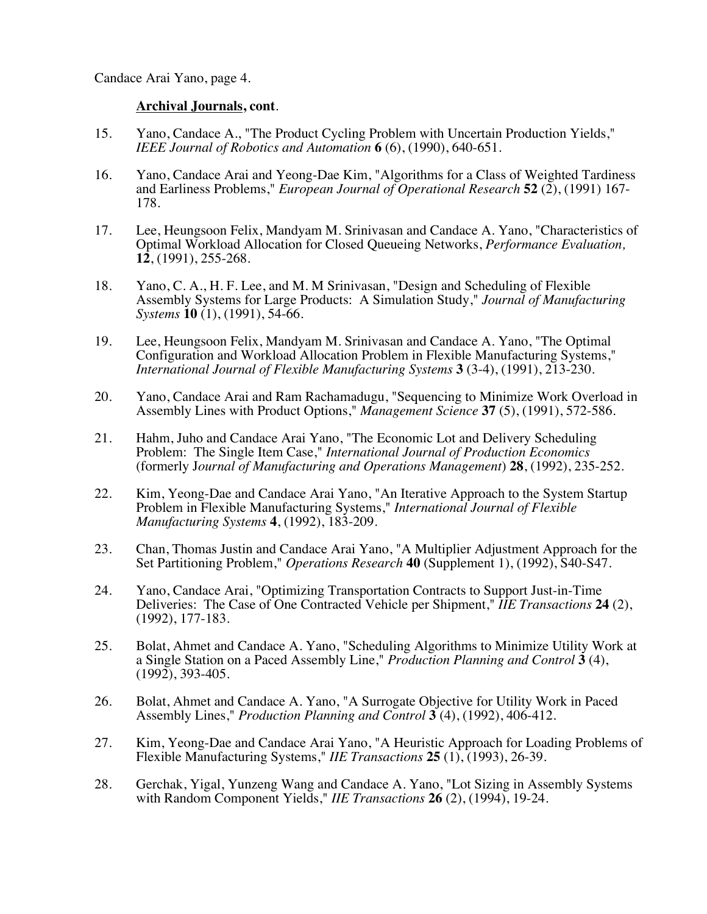- 15. Yano, Candace A., "The Product Cycling Problem with Uncertain Production Yields," *IEEE Journal of Robotics and Automation* **6** (6), (1990), 640-651.
- 16. Yano, Candace Arai and Yeong-Dae Kim, "Algorithms for a Class of Weighted Tardiness and Earliness Problems," *European Journal of Operational Research* **52** (2), (1991) 167- 178.
- 17. Lee, Heungsoon Felix, Mandyam M. Srinivasan and Candace A. Yano, "Characteristics of Optimal Workload Allocation for Closed Queueing Networks, *Performance Evaluation,* **12**, (1991), 255-268.
- 18. Yano, C. A., H. F. Lee, and M. M Srinivasan, "Design and Scheduling of Flexible Assembly Systems for Large Products: A Simulation Study," *Journal of Manufacturing Systems* **10** (1), (1991), 54-66.
- 19. Lee, Heungsoon Felix, Mandyam M. Srinivasan and Candace A. Yano, "The Optimal Configuration and Workload Allocation Problem in Flexible Manufacturing Systems," *International Journal of Flexible Manufacturing Systems* **3** (3-4), (1991), 213-230.
- 20. Yano, Candace Arai and Ram Rachamadugu, "Sequencing to Minimize Work Overload in Assembly Lines with Product Options," *Management Science* **37** (5), (1991), 572-586.
- 21. Hahm, Juho and Candace Arai Yano, "The Economic Lot and Delivery Scheduling Problem: The Single Item Case," *International Journal of Production Economics* (formerly J*ournal of Manufacturing and Operations Management*) **28**, (1992), 235-252.
- 22. Kim, Yeong-Dae and Candace Arai Yano, "An Iterative Approach to the System Startup Problem in Flexible Manufacturing Systems," *International Journal of Flexible Manufacturing Systems* **4**, (1992), 183-209.
- 23. Chan, Thomas Justin and Candace Arai Yano, "A Multiplier Adjustment Approach for the Set Partitioning Problem," *Operations Research* **40** (Supplement 1), (1992), S40-S47.
- 24. Yano, Candace Arai, "Optimizing Transportation Contracts to Support Just-in-Time Deliveries: The Case of One Contracted Vehicle per Shipment," *IIE Transactions* **24** (2), (1992), 177-183.
- 25. Bolat, Ahmet and Candace A. Yano, "Scheduling Algorithms to Minimize Utility Work at a Single Station on a Paced Assembly Line," *Production Planning and Control* **3** (4), (1992), 393-405.
- 26. Bolat, Ahmet and Candace A. Yano, "A Surrogate Objective for Utility Work in Paced Assembly Lines," *Production Planning and Control* **3** (4), (1992), 406-412.
- 27. Kim, Yeong-Dae and Candace Arai Yano, "A Heuristic Approach for Loading Problems of Flexible Manufacturing Systems," *IIE Transactions* **25** (1), (1993), 26-39.
- 28. Gerchak, Yigal, Yunzeng Wang and Candace A. Yano, "Lot Sizing in Assembly Systems with Random Component Yields," *IIE Transactions* **26** (2), (1994), 19-24.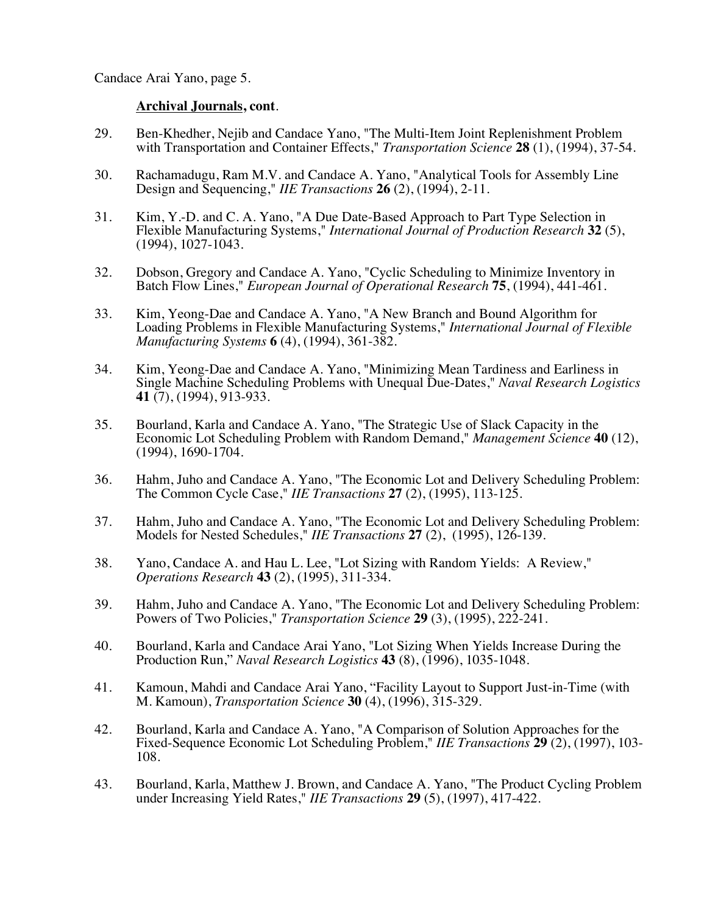- 29. Ben-Khedher, Nejib and Candace Yano, "The Multi-Item Joint Replenishment Problem with Transportation and Container Effects," *Transportation Science* **28** (1), (1994), 37-54.
- 30. Rachamadugu, Ram M.V. and Candace A. Yano, "Analytical Tools for Assembly Line Design and Sequencing," *IIE Transactions* **26** (2), (1994), 2-11.
- 31. Kim, Y.-D. and C. A. Yano, "A Due Date-Based Approach to Part Type Selection in Flexible Manufacturing Systems," *International Journal of Production Research* **32** (5), (1994), 1027-1043.
- 32. Dobson, Gregory and Candace A. Yano, "Cyclic Scheduling to Minimize Inventory in Batch Flow Lines," *European Journal of Operational Research* **75**, (1994), 441-461.
- 33. Kim, Yeong-Dae and Candace A. Yano, "A New Branch and Bound Algorithm for Loading Problems in Flexible Manufacturing Systems," *International Journal of Flexible Manufacturing Systems* **6** (4), (1994), 361-382.
- 34. Kim, Yeong-Dae and Candace A. Yano, "Minimizing Mean Tardiness and Earliness in Single Machine Scheduling Problems with Unequal Due-Dates," *Naval Research Logistics* **41** (7), (1994), 913-933.
- 35. Bourland, Karla and Candace A. Yano, "The Strategic Use of Slack Capacity in the Economic Lot Scheduling Problem with Random Demand," *Management Science* **40** (12), (1994), 1690-1704.
- 36. Hahm, Juho and Candace A. Yano, "The Economic Lot and Delivery Scheduling Problem: The Common Cycle Case," *IIE Transactions* **27** (2), (1995), 113-125.
- 37. Hahm, Juho and Candace A. Yano, "The Economic Lot and Delivery Scheduling Problem: Models for Nested Schedules," *IIE Transactions* **27** (2), (1995), 126-139.
- 38. Yano, Candace A. and Hau L. Lee, "Lot Sizing with Random Yields: A Review," *Operations Research* **43** (2), (1995), 311-334.
- 39. Hahm, Juho and Candace A. Yano, "The Economic Lot and Delivery Scheduling Problem: Powers of Two Policies," *Transportation Science* **29** (3), (1995), 222-241.
- 40. Bourland, Karla and Candace Arai Yano, "Lot Sizing When Yields Increase During the Production Run," *Naval Research Logistics* **43** (8), (1996), 1035-1048.
- 41. Kamoun, Mahdi and Candace Arai Yano, "Facility Layout to Support Just-in-Time (with M. Kamoun), *Transportation Science* **30** (4), (1996), 315-329.
- 42. Bourland, Karla and Candace A. Yano, "A Comparison of Solution Approaches for the Fixed-Sequence Economic Lot Scheduling Problem," *IIE Transactions* **29** (2), (1997), 103- 108.
- 43. Bourland, Karla, Matthew J. Brown, and Candace A. Yano, "The Product Cycling Problem under Increasing Yield Rates," *IIE Transactions* **29** (5), (1997), 417-422.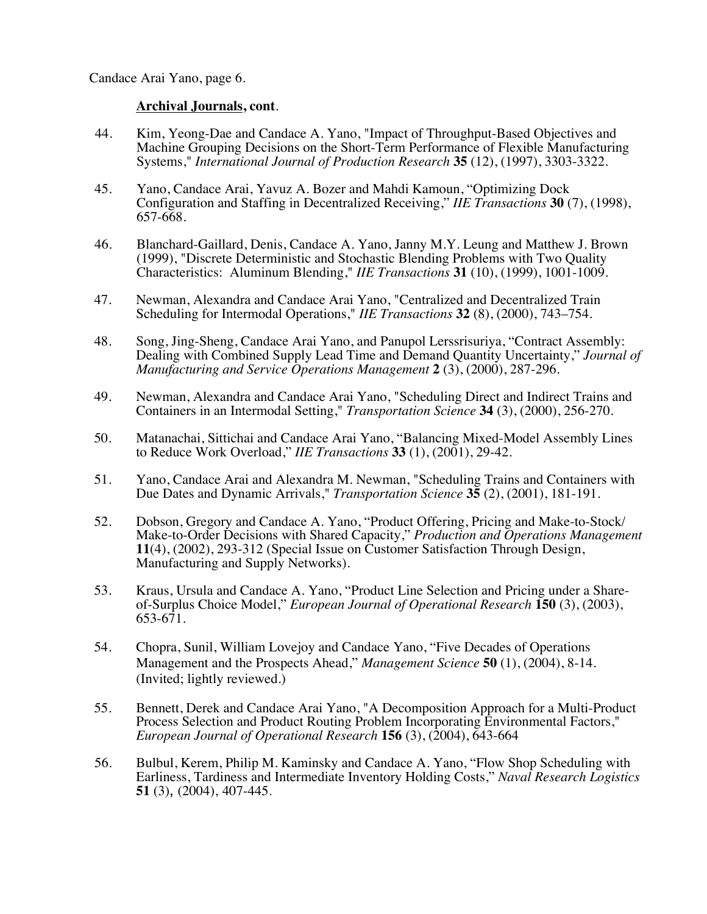- 44. Kim, Yeong-Dae and Candace A. Yano, "Impact of Throughput-Based Objectives and Machine Grouping Decisions on the Short-Term Performance of Flexible Manufacturing Systems," *International Journal of Production Research* **35** (12), (1997), 3303-3322.
- 45. Yano, Candace Arai, Yavuz A. Bozer and Mahdi Kamoun, "Optimizing Dock Configuration and Staffing in Decentralized Receiving," *IIE Transactions* **30** (7), (1998), 657-668.
- 46. Blanchard-Gaillard, Denis, Candace A. Yano, Janny M.Y. Leung and Matthew J. Brown (1999), "Discrete Deterministic and Stochastic Blending Problems with Two Quality Characteristics: Aluminum Blending," *IIE Transactions* **31** (10), (1999), 1001-1009.
- 47. Newman, Alexandra and Candace Arai Yano, "Centralized and Decentralized Train Scheduling for Intermodal Operations," *IIE Transactions* **32** (8), (2000), 743–754.
- 48. Song, Jing-Sheng, Candace Arai Yano, and Panupol Lerssrisuriya, "Contract Assembly: Dealing with Combined Supply Lead Time and Demand Quantity Uncertainty," *Journal of Manufacturing and Service Operations Management* **2** (3), (2000), 287-296.
- 49. Newman, Alexandra and Candace Arai Yano, "Scheduling Direct and Indirect Trains and Containers in an Intermodal Setting," *Transportation Science* **34** (3), (2000), 256-270.
- 50. Matanachai, Sittichai and Candace Arai Yano, "Balancing Mixed-Model Assembly Lines to Reduce Work Overload," *IIE Transactions* **33** (1), (2001), 29-42.
- 51. Yano, Candace Arai and Alexandra M. Newman, "Scheduling Trains and Containers with Due Dates and Dynamic Arrivals," *Transportation Science* **35** (2), (2001), 181-191.
- 52. Dobson, Gregory and Candace A. Yano, "Product Offering, Pricing and Make-to-Stock/ Make-to-Order Decisions with Shared Capacity," *Production and Operations Management* **11**(4), (2002), 293-312 (Special Issue on Customer Satisfaction Through Design, Manufacturing and Supply Networks).
- 53. Kraus, Ursula and Candace A. Yano, "Product Line Selection and Pricing under a Shareof-Surplus Choice Model," *European Journal of Operational Research* **150** (3), (2003), 653-671.
- 54. Chopra, Sunil, William Lovejoy and Candace Yano, "Five Decades of Operations Management and the Prospects Ahead," *Management Science* **50** (1), (2004), 8-14. (Invited; lightly reviewed.)
- 55. Bennett, Derek and Candace Arai Yano, "A Decomposition Approach for a Multi-Product Process Selection and Product Routing Problem Incorporating Environmental Factors," *European Journal of Operational Research* **156** (3), (2004), 643-664
- 56. Bulbul, Kerem, Philip M. Kaminsky and Candace A. Yano, "Flow Shop Scheduling with Earliness, Tardiness and Intermediate Inventory Holding Costs," *Naval Research Logistics* **51** (3), (2004), 407-445.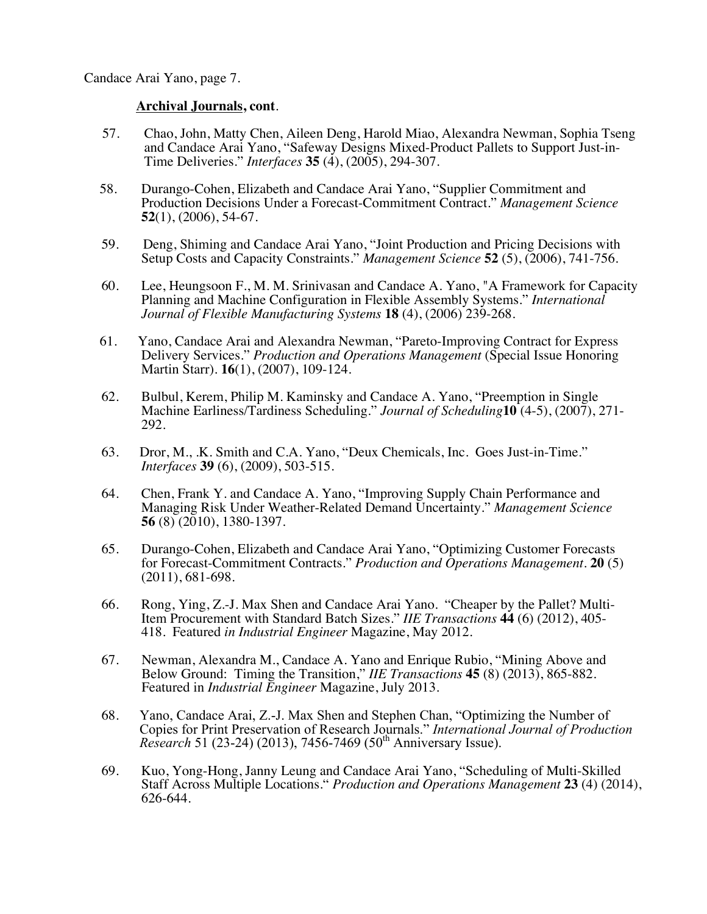- 57. Chao, John, Matty Chen, Aileen Deng, Harold Miao, Alexandra Newman, Sophia Tseng and Candace Arai Yano, "Safeway Designs Mixed-Product Pallets to Support Just-in-Time Deliveries." *Interfaces* **35** (4), (2005), 294-307.
- 58. Durango-Cohen, Elizabeth and Candace Arai Yano, "Supplier Commitment and Production Decisions Under a Forecast-Commitment Contract." *Management Science* **52**(1), (2006), 54-67.
- 59. Deng, Shiming and Candace Arai Yano, "Joint Production and Pricing Decisions with Setup Costs and Capacity Constraints." *Management Science* **52** (5), (2006), 741-756.
- 60. Lee, Heungsoon F., M. M. Srinivasan and Candace A. Yano, "A Framework for Capacity Planning and Machine Configuration in Flexible Assembly Systems." *International Journal of Flexible Manufacturing Systems* **18** (4), (2006) 239-268.
- 61. Yano, Candace Arai and Alexandra Newman, "Pareto-Improving Contract for Express Delivery Services." *Production and Operations Management* (Special Issue Honoring Martin Starr). **16**(1), (2007), 109-124.
- 62. Bulbul, Kerem, Philip M. Kaminsky and Candace A. Yano, "Preemption in Single Machine Earliness/Tardiness Scheduling." *Journal of Scheduling***10** (4-5), (2007), 271- 292.
- 63. Dror, M., .K. Smith and C.A. Yano, "Deux Chemicals, Inc. Goes Just-in-Time." *Interfaces* **39** (6), (2009), 503-515.
- 64. Chen, Frank Y. and Candace A. Yano, "Improving Supply Chain Performance and Managing Risk Under Weather-Related Demand Uncertainty." *Management Science* **56** (8) (2010), 1380-1397.
- 65. Durango-Cohen, Elizabeth and Candace Arai Yano, "Optimizing Customer Forecasts for Forecast-Commitment Contracts." *Production and Operations Management*. **20** (5) (2011), 681-698.
- 66. Rong, Ying, Z.-J. Max Shen and Candace Arai Yano. "Cheaper by the Pallet? Multi-Item Procurement with Standard Batch Sizes." *IIE Transactions* **44** (6) (2012), 405- 418. Featured *in Industrial Engineer* Magazine, May 2012.
- 67. Newman, Alexandra M., Candace A. Yano and Enrique Rubio, "Mining Above and Below Ground: Timing the Transition," *IIE Transactions* **45** (8) (2013), 865-882. Featured in *Industrial Engineer* Magazine, July 2013.
- 68. Yano, Candace Arai, Z.-J. Max Shen and Stephen Chan, "Optimizing the Number of Copies for Print Preservation of Research Journals." *International Journal of Production Research* 51 (23-24) (2013), 7456-7469 (50<sup>th</sup> Anniversary Issue).
- 69. Kuo, Yong-Hong, Janny Leung and Candace Arai Yano, "Scheduling of Multi-Skilled Staff Across Multiple Locations." *Production and Operations Management* **23** (4) (2014), 626-644.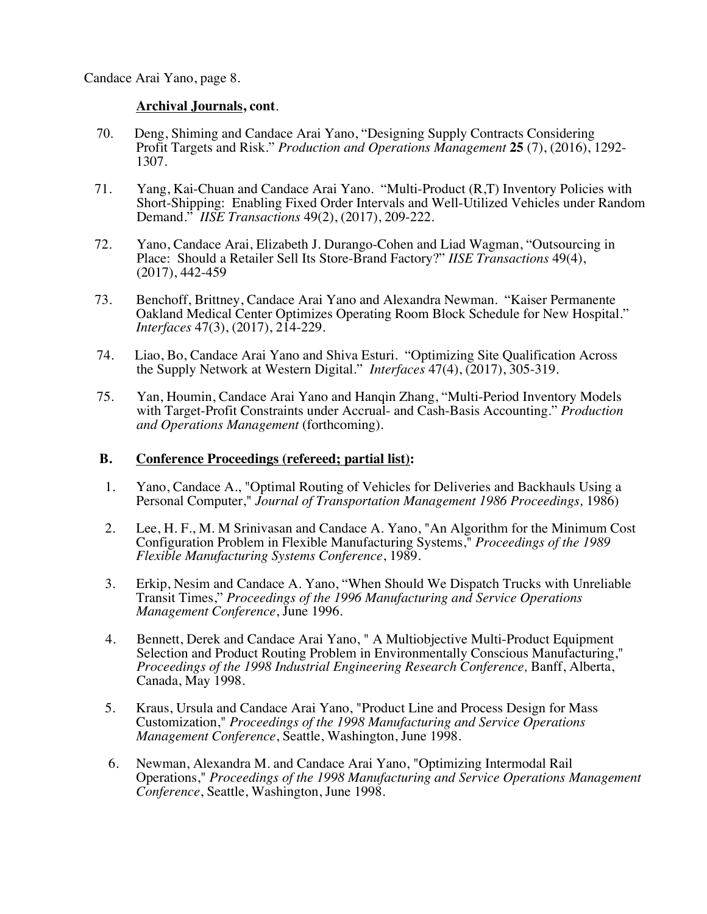#### **Archival Journals, cont**.

- 70. Deng, Shiming and Candace Arai Yano, "Designing Supply Contracts Considering Profit Targets and Risk." *Production and Operations Management* **25** (7), (2016), 1292- 1307.
- 71. Yang, Kai-Chuan and Candace Arai Yano. "Multi-Product (R,T) Inventory Policies with Short-Shipping: Enabling Fixed Order Intervals and Well-Utilized Vehicles under Random Demand." *IISE Transactions* 49(2), (2017), 209-222.
- 72. Yano, Candace Arai, Elizabeth J. Durango-Cohen and Liad Wagman, "Outsourcing in Place: Should a Retailer Sell Its Store-Brand Factory?" *IISE Transactions* 49(4), (2017), 442-459
- 73. Benchoff, Brittney, Candace Arai Yano and Alexandra Newman. "Kaiser Permanente Oakland Medical Center Optimizes Operating Room Block Schedule for New Hospital." *Interfaces* 47(3), (2017), 214-229.
- 74. Liao, Bo, Candace Arai Yano and Shiva Esturi. "Optimizing Site Qualification Across the Supply Network at Western Digital." *Interfaces* 47(4), (2017), 305-319.
- 75. Yan, Houmin, Candace Arai Yano and Hanqin Zhang, "Multi-Period Inventory Models with Target-Profit Constraints under Accrual- and Cash-Basis Accounting." *Production and Operations Management* (forthcoming).

### **B. Conference Proceedings (refereed; partial list):**

- 1. Yano, Candace A., "Optimal Routing of Vehicles for Deliveries and Backhauls Using a Personal Computer," *Journal of Transportation Management 1986 Proceedings,* 1986)
- 2. Lee, H. F., M. M Srinivasan and Candace A. Yano, "An Algorithm for the Minimum Cost Configuration Problem in Flexible Manufacturing Systems," *Proceedings of the 1989 Flexible Manufacturing Systems Conference*, 1989.
- 3. Erkip, Nesim and Candace A. Yano, "When Should We Dispatch Trucks with Unreliable Transit Times," *Proceedings of the 1996 Manufacturing and Service Operations Management Conference*, June 1996.
- 4. Bennett, Derek and Candace Arai Yano, " A Multiobjective Multi-Product Equipment Selection and Product Routing Problem in Environmentally Conscious Manufacturing," *Proceedings of the 1998 Industrial Engineering Research Conference,* Banff, Alberta, Canada, May 1998.
- 5. Kraus, Ursula and Candace Arai Yano, "Product Line and Process Design for Mass Customization," *Proceedings of the 1998 Manufacturing and Service Operations Management Conference*, Seattle, Washington, June 1998.
- 6. Newman, Alexandra M. and Candace Arai Yano, "Optimizing Intermodal Rail Operations," *Proceedings of the 1998 Manufacturing and Service Operations Management Conference*, Seattle, Washington, June 1998.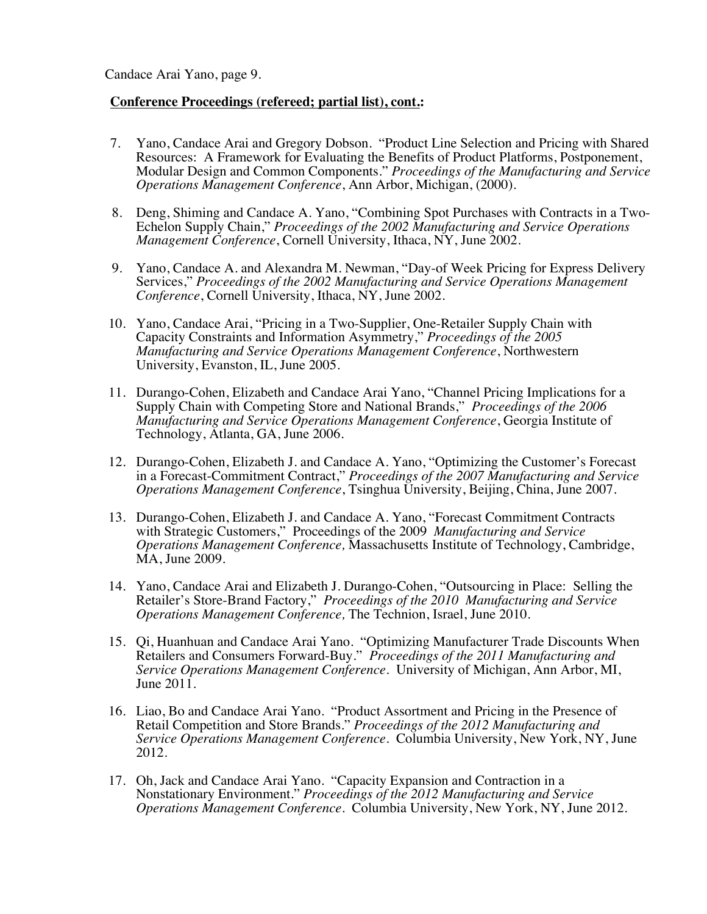#### **Conference Proceedings (refereed; partial list), cont.:**

- 7. Yano, Candace Arai and Gregory Dobson. "Product Line Selection and Pricing with Shared Resources: A Framework for Evaluating the Benefits of Product Platforms, Postponement, Modular Design and Common Components." *Proceedings of the Manufacturing and Service Operations Management Conference*, Ann Arbor, Michigan, (2000).
- 8. Deng, Shiming and Candace A. Yano, "Combining Spot Purchases with Contracts in a Two-Echelon Supply Chain," *Proceedings of the 2002 Manufacturing and Service Operations Management Conference*, Cornell University, Ithaca, NY, June 2002.
- 9. Yano, Candace A. and Alexandra M. Newman, "Day-of Week Pricing for Express Delivery Services," *Proceedings of the 2002 Manufacturing and Service Operations Management Conference*, Cornell University, Ithaca, NY, June 2002.
- 10. Yano, Candace Arai, "Pricing in a Two-Supplier, One-Retailer Supply Chain with Capacity Constraints and Information Asymmetry," *Proceedings of the 2005 Manufacturing and Service Operations Management Conference*, Northwestern University, Evanston, IL, June 2005.
- 11. Durango-Cohen, Elizabeth and Candace Arai Yano, "Channel Pricing Implications for a Supply Chain with Competing Store and National Brands," *Proceedings of the 2006 Manufacturing and Service Operations Management Conference*, Georgia Institute of Technology, Atlanta, GA, June 2006.
- 12. Durango-Cohen, Elizabeth J. and Candace A. Yano, "Optimizing the Customer's Forecast in a Forecast-Commitment Contract," *Proceedings of the 2007 Manufacturing and Service Operations Management Conference*, Tsinghua University, Beijing, China, June 2007.
- 13. Durango-Cohen, Elizabeth J. and Candace A. Yano, "Forecast Commitment Contracts with Strategic Customers," Proceedings of the 2009 *Manufacturing and Service Operations Management Conference,* Massachusetts Institute of Technology, Cambridge, MA, June 2009.
- 14. Yano, Candace Arai and Elizabeth J. Durango-Cohen, "Outsourcing in Place: Selling the Retailer's Store-Brand Factory," *Proceedings of the 2010 Manufacturing and Service Operations Management Conference,* The Technion, Israel, June 2010.
- 15. Qi, Huanhuan and Candace Arai Yano. "Optimizing Manufacturer Trade Discounts When Retailers and Consumers Forward-Buy." *Proceedings of the 2011 Manufacturing and Service Operations Management Conference*. University of Michigan, Ann Arbor, MI, June 2011.
- 16. Liao, Bo and Candace Arai Yano. "Product Assortment and Pricing in the Presence of Retail Competition and Store Brands." *Proceedings of the 2012 Manufacturing and Service Operations Management Conference*. Columbia University, New York, NY, June 2012.
- 17. Oh, Jack and Candace Arai Yano. "Capacity Expansion and Contraction in a Nonstationary Environment." *Proceedings of the 2012 Manufacturing and Service Operations Management Conference*. Columbia University, New York, NY, June 2012.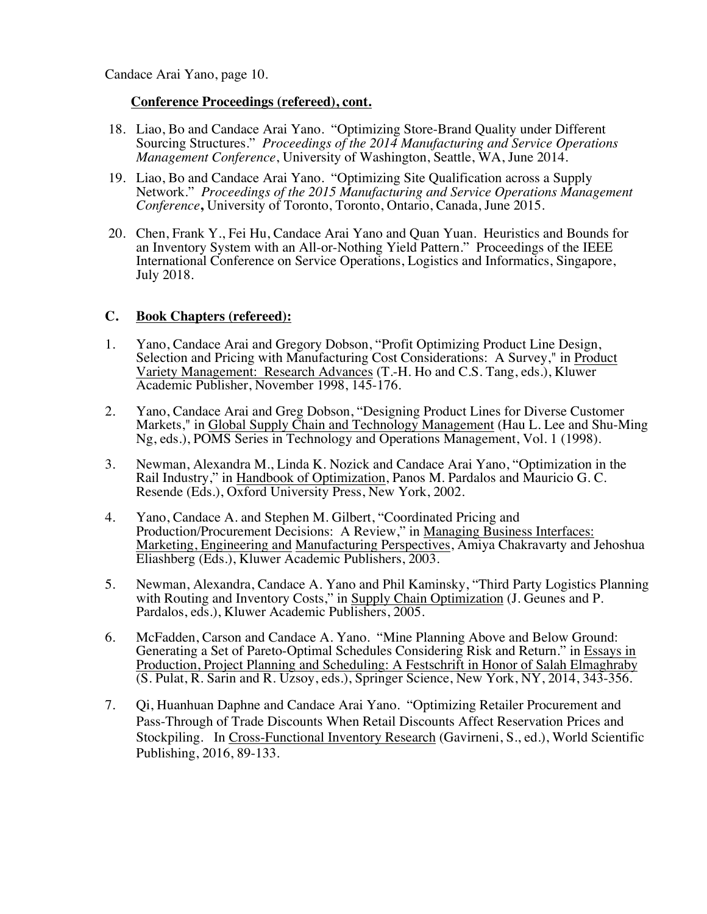#### **Conference Proceedings (refereed), cont.**

- 18. Liao, Bo and Candace Arai Yano. "Optimizing Store-Brand Quality under Different Sourcing Structures." *Proceedings of the 2014 Manufacturing and Service Operations Management Conference*, University of Washington, Seattle, WA, June 2014.
- 19. Liao, Bo and Candace Arai Yano. "Optimizing Site Qualification across a Supply Network." *Proceedings of the 2015 Manufacturing and Service Operations Management Conference***,** University of Toronto, Toronto, Ontario, Canada, June 2015.
- 20. Chen, Frank Y., Fei Hu, Candace Arai Yano and Quan Yuan. Heuristics and Bounds for an Inventory System with an All-or-Nothing Yield Pattern." Proceedings of the IEEE International Conference on Service Operations, Logistics and Informatics, Singapore, July 2018.

# **C. Book Chapters (refereed):**

- 1. Yano, Candace Arai and Gregory Dobson, "Profit Optimizing Product Line Design, Selection and Pricing with Manufacturing Cost Considerations: A Survey," in Product Variety Management: Research Advances (T.-H. Ho and C.S. Tang, eds.), Kluwer Academic Publisher, November 1998, 145-176.
- 2. Yano, Candace Arai and Greg Dobson, "Designing Product Lines for Diverse Customer Markets," in Global Supply Chain and Technology Management (Hau L. Lee and Shu-Ming Ng, eds.), POMS Series in Technology and Operations Management, Vol. 1 (1998).
- 3. Newman, Alexandra M., Linda K. Nozick and Candace Arai Yano, "Optimization in the Rail Industry," in Handbook of Optimization, Panos M. Pardalos and Mauricio G. C. Resende (Eds.), Oxford University Press, New York, 2002.
- 4. Yano, Candace A. and Stephen M. Gilbert, "Coordinated Pricing and Production/Procurement Decisions: A Review," in Managing Business Interfaces: Marketing, Engineering and Manufacturing Perspectives, Amiya Chakravarty and Jehoshua Eliashberg (Eds.), Kluwer Academic Publishers, 2003.
- 5. Newman, Alexandra, Candace A. Yano and Phil Kaminsky, "Third Party Logistics Planning with Routing and Inventory Costs," in Supply Chain Optimization (J. Geunes and P. Pardalos, eds.), Kluwer Academic Publishers, 2005.
- 6. McFadden, Carson and Candace A. Yano. "Mine Planning Above and Below Ground: Generating a Set of Pareto-Optimal Schedules Considering Risk and Return." in Essays in Production, Project Planning and Scheduling: A Festschrift in Honor of Salah Elmaghraby (S. Pulat, R. Sarin and R. Uzsoy, eds.), Springer Science, New York, NY, 2014, 343-356.
- 7. Qi, Huanhuan Daphne and Candace Arai Yano. "Optimizing Retailer Procurement and Pass-Through of Trade Discounts When Retail Discounts Affect Reservation Prices and Stockpiling. In Cross-Functional Inventory Research (Gavirneni, S., ed.), World Scientific Publishing, 2016, 89-133.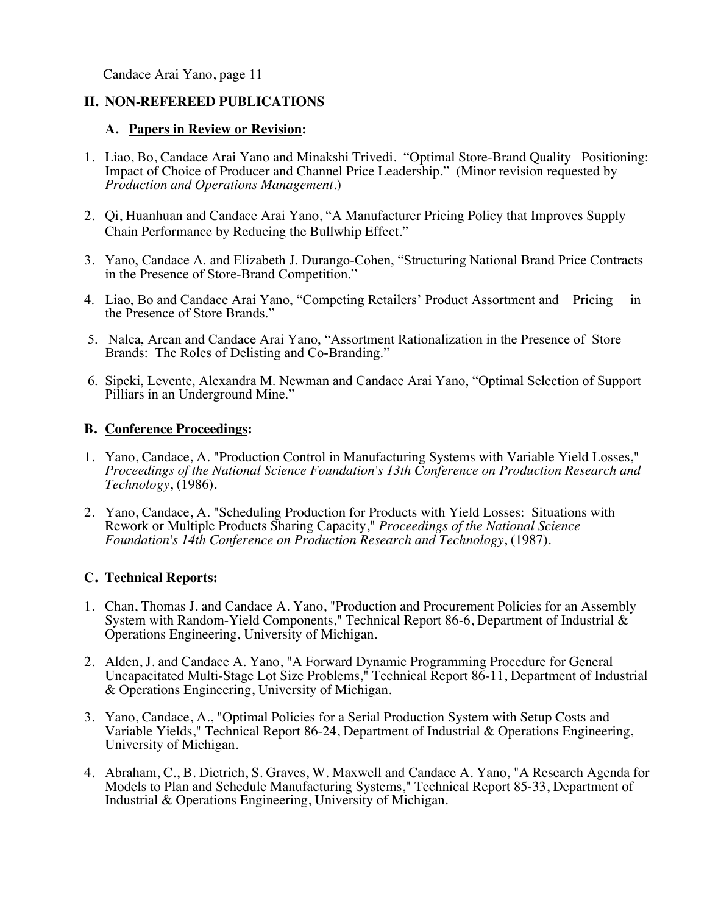# **II. NON-REFEREED PUBLICATIONS**

### **A. Papers in Review or Revision:**

- 1. Liao, Bo, Candace Arai Yano and Minakshi Trivedi. "Optimal Store-Brand Quality Positioning: Impact of Choice of Producer and Channel Price Leadership." (Minor revision requested by *Production and Operations Management*.)
- 2. Qi, Huanhuan and Candace Arai Yano, "A Manufacturer Pricing Policy that Improves Supply Chain Performance by Reducing the Bullwhip Effect."
- 3. Yano, Candace A. and Elizabeth J. Durango-Cohen, "Structuring National Brand Price Contracts in the Presence of Store-Brand Competition."
- 4. Liao, Bo and Candace Arai Yano, "Competing Retailers' Product Assortment and Pricing in the Presence of Store Brands."
- 5. Nalca, Arcan and Candace Arai Yano, "Assortment Rationalization in the Presence of Store Brands: The Roles of Delisting and Co-Branding."
- 6. Sipeki, Levente, Alexandra M. Newman and Candace Arai Yano, "Optimal Selection of Support Pilliars in an Underground Mine."

# **B. Conference Proceedings:**

- 1. Yano, Candace, A. "Production Control in Manufacturing Systems with Variable Yield Losses," *Proceedings of the National Science Foundation's 13th Conference on Production Research and Technology*, (1986).
- 2. Yano, Candace, A. "Scheduling Production for Products with Yield Losses: Situations with Rework or Multiple Products Sharing Capacity," *Proceedings of the National Science Foundation's 14th Conference on Production Research and Technology*, (1987).

# **C. Technical Reports:**

- 1. Chan, Thomas J. and Candace A. Yano, "Production and Procurement Policies for an Assembly System with Random-Yield Components," Technical Report 86-6, Department of Industrial & Operations Engineering, University of Michigan.
- 2. Alden, J. and Candace A. Yano, "A Forward Dynamic Programming Procedure for General Uncapacitated Multi-Stage Lot Size Problems," Technical Report 86-11, Department of Industrial & Operations Engineering, University of Michigan.
- 3. Yano, Candace, A., "Optimal Policies for a Serial Production System with Setup Costs and Variable Yields," Technical Report 86-24, Department of Industrial & Operations Engineering, University of Michigan.
- 4. Abraham, C., B. Dietrich, S. Graves, W. Maxwell and Candace A. Yano, "A Research Agenda for Models to Plan and Schedule Manufacturing Systems," Technical Report 85-33, Department of Industrial & Operations Engineering, University of Michigan.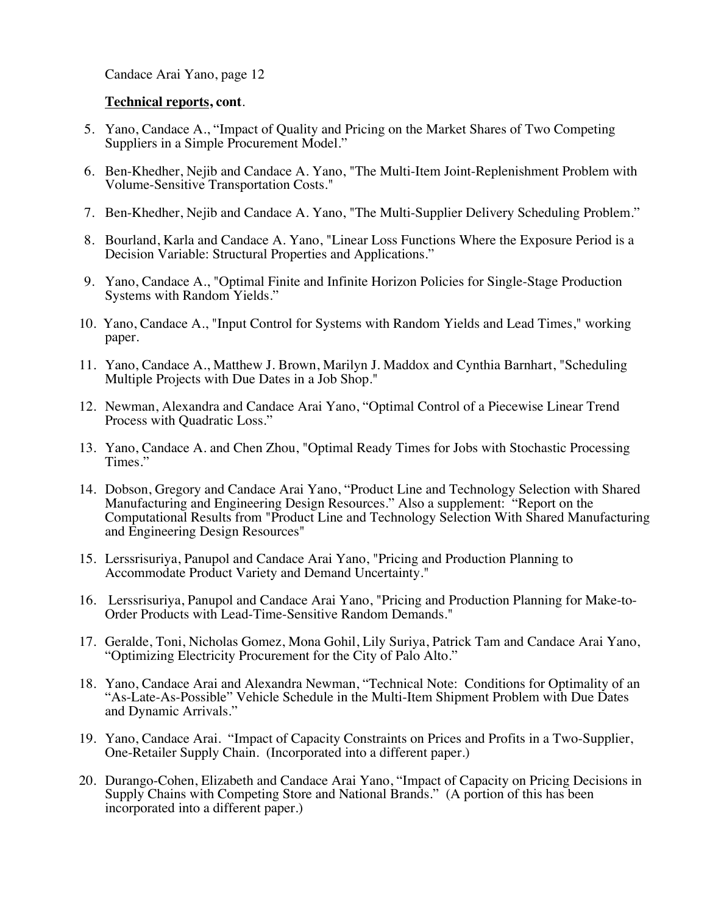#### **Technical reports, cont**.

- 5. Yano, Candace A., "Impact of Quality and Pricing on the Market Shares of Two Competing Suppliers in a Simple Procurement Model."
- 6. Ben-Khedher, Nejib and Candace A. Yano, "The Multi-Item Joint-Replenishment Problem with Volume-Sensitive Transportation Costs."
- 7. Ben-Khedher, Nejib and Candace A. Yano, "The Multi-Supplier Delivery Scheduling Problem."
- 8. Bourland, Karla and Candace A. Yano, "Linear Loss Functions Where the Exposure Period is a Decision Variable: Structural Properties and Applications."
- 9. Yano, Candace A., "Optimal Finite and Infinite Horizon Policies for Single-Stage Production Systems with Random Yields."
- 10. Yano, Candace A., "Input Control for Systems with Random Yields and Lead Times," working paper.
- 11. Yano, Candace A., Matthew J. Brown, Marilyn J. Maddox and Cynthia Barnhart, "Scheduling Multiple Projects with Due Dates in a Job Shop."
- 12. Newman, Alexandra and Candace Arai Yano, "Optimal Control of a Piecewise Linear Trend Process with Quadratic Loss."
- 13. Yano, Candace A. and Chen Zhou, "Optimal Ready Times for Jobs with Stochastic Processing Times."
- 14. Dobson, Gregory and Candace Arai Yano, "Product Line and Technology Selection with Shared Manufacturing and Engineering Design Resources." Also a supplement: "Report on the Computational Results from "Product Line and Technology Selection With Shared Manufacturing and Engineering Design Resources"
- 15. Lerssrisuriya, Panupol and Candace Arai Yano, "Pricing and Production Planning to Accommodate Product Variety and Demand Uncertainty."
- 16. Lerssrisuriya, Panupol and Candace Arai Yano, "Pricing and Production Planning for Make-to-Order Products with Lead-Time-Sensitive Random Demands."
- 17. Geralde, Toni, Nicholas Gomez, Mona Gohil, Lily Suriya, Patrick Tam and Candace Arai Yano, "Optimizing Electricity Procurement for the City of Palo Alto."
- 18. Yano, Candace Arai and Alexandra Newman, "Technical Note: Conditions for Optimality of an "As-Late-As-Possible" Vehicle Schedule in the Multi-Item Shipment Problem with Due Dates and Dynamic Arrivals."
- 19. Yano, Candace Arai. "Impact of Capacity Constraints on Prices and Profits in a Two-Supplier, One-Retailer Supply Chain. (Incorporated into a different paper.)
- 20. Durango-Cohen, Elizabeth and Candace Arai Yano, "Impact of Capacity on Pricing Decisions in Supply Chains with Competing Store and National Brands." (A portion of this has been incorporated into a different paper.)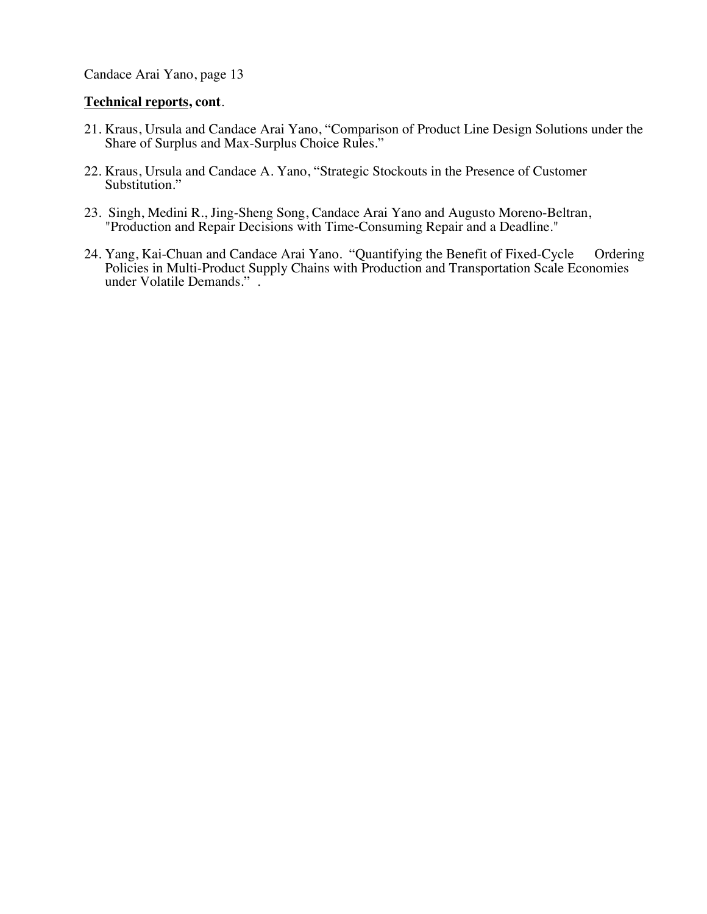### **Technical reports, cont**.

- 21. Kraus, Ursula and Candace Arai Yano, "Comparison of Product Line Design Solutions under the Share of Surplus and Max-Surplus Choice Rules."
- 22. Kraus, Ursula and Candace A. Yano, "Strategic Stockouts in the Presence of Customer Substitution."
- 23. Singh, Medini R., Jing-Sheng Song, Candace Arai Yano and Augusto Moreno-Beltran, "Production and Repair Decisions with Time-Consuming Repair and a Deadline."
- 24. Yang, Kai-Chuan and Candace Arai Yano. "Quantifying the Benefit of Fixed-Cycle Ordering Policies in Multi-Product Supply Chains with Production and Transportation Scale Economies under Volatile Demands." .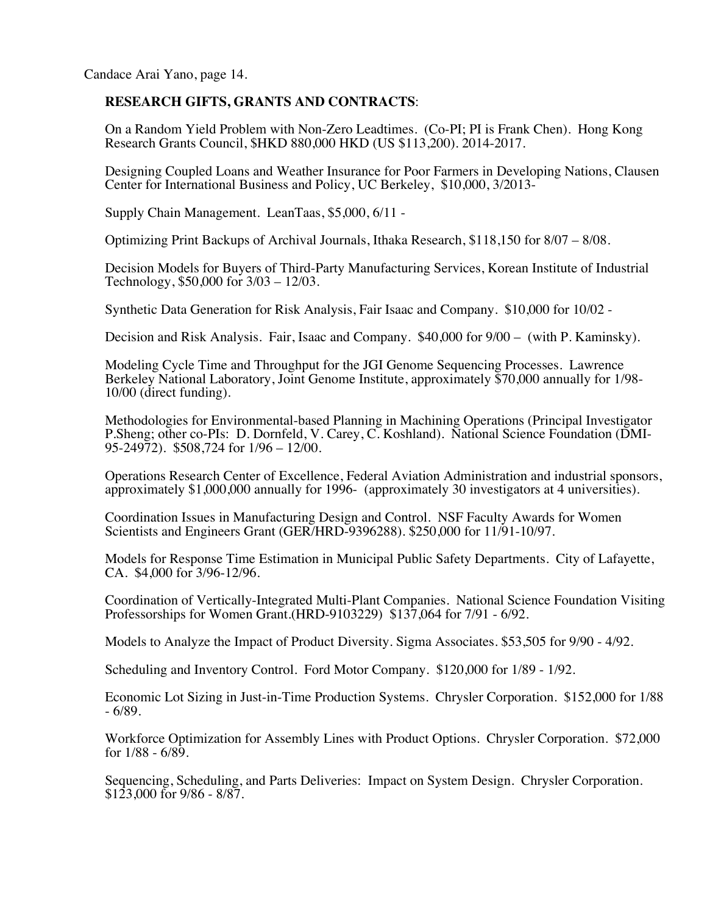# **RESEARCH GIFTS, GRANTS AND CONTRACTS**:

On a Random Yield Problem with Non-Zero Leadtimes. (Co-PI; PI is Frank Chen). Hong Kong Research Grants Council, \$HKD 880,000 HKD (US \$113,200). 2014-2017.

Designing Coupled Loans and Weather Insurance for Poor Farmers in Developing Nations, Clausen Center for International Business and Policy, UC Berkeley, \$10,000, 3/2013-

Supply Chain Management. LeanTaas, \$5,000, 6/11 -

Optimizing Print Backups of Archival Journals, Ithaka Research, \$118,150 for 8/07 – 8/08.

Decision Models for Buyers of Third-Party Manufacturing Services, Korean Institute of Industrial Technology, \$50,000 for 3/03 – 12/03.

Synthetic Data Generation for Risk Analysis, Fair Isaac and Company. \$10,000 for 10/02 -

Decision and Risk Analysis. Fair, Isaac and Company. \$40,000 for 9/00 – (with P. Kaminsky).

Modeling Cycle Time and Throughput for the JGI Genome Sequencing Processes. Lawrence Berkeley National Laboratory, Joint Genome Institute, approximately \$70,000 annually for 1/98- 10/00 (direct funding).

Methodologies for Environmental-based Planning in Machining Operations (Principal Investigator P.Sheng; other co-PIs: D. Dornfeld, V. Carey, C. Koshland). National Science Foundation (DMI-95-24972). \$508,724 for 1/96 – 12/00.

Operations Research Center of Excellence, Federal Aviation Administration and industrial sponsors, approximately \$1,000,000 annually for 1996- (approximately 30 investigators at 4 universities).

Coordination Issues in Manufacturing Design and Control. NSF Faculty Awards for Women Scientists and Engineers Grant (GER/HRD-9396288). \$250,000 for 11/91-10/97.

Models for Response Time Estimation in Municipal Public Safety Departments. City of Lafayette, CA. \$4,000 for 3/96-12/96.

Coordination of Vertically-Integrated Multi-Plant Companies. National Science Foundation Visiting Professorships for Women Grant.(HRD-9103229) \$137,064 for 7/91 - 6/92.

Models to Analyze the Impact of Product Diversity. Sigma Associates. \$53,505 for 9/90 - 4/92.

Scheduling and Inventory Control. Ford Motor Company. \$120,000 for 1/89 - 1/92.

Economic Lot Sizing in Just-in-Time Production Systems. Chrysler Corporation. \$152,000 for 1/88 - 6/89.

Workforce Optimization for Assembly Lines with Product Options. Chrysler Corporation. \$72,000 for 1/88 - 6/89.

Sequencing, Scheduling, and Parts Deliveries: Impact on System Design. Chrysler Corporation. \$123,000 for 9/86 - 8/87.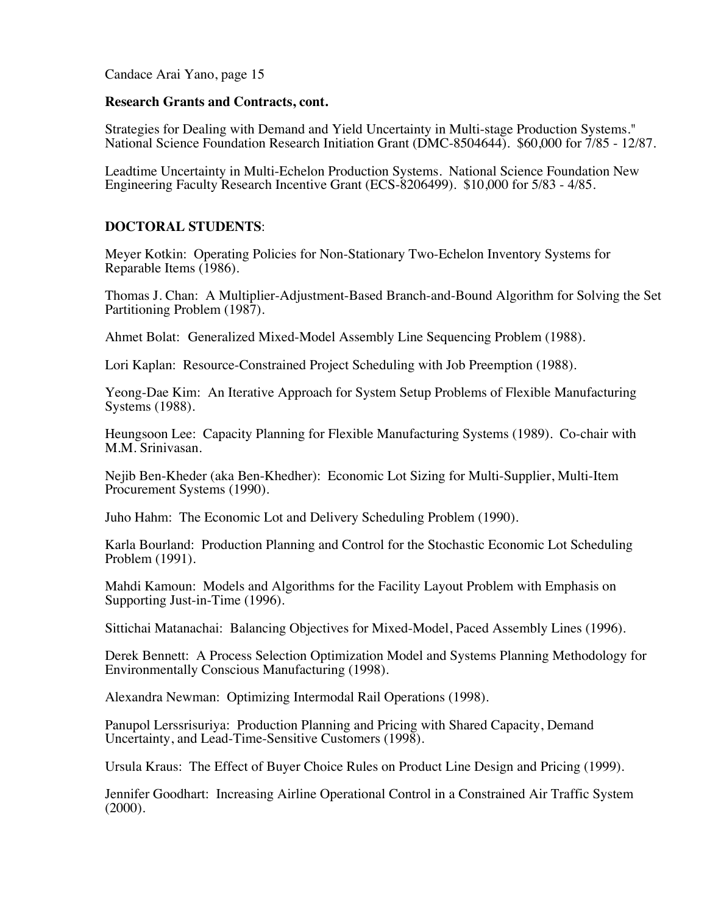#### **Research Grants and Contracts, cont.**

Strategies for Dealing with Demand and Yield Uncertainty in Multi-stage Production Systems." National Science Foundation Research Initiation Grant (DMC-8504644). \$60,000 for 7/85 - 12/87.

Leadtime Uncertainty in Multi-Echelon Production Systems. National Science Foundation New Engineering Faculty Research Incentive Grant (ECS-8206499). \$10,000 for 5/83 - 4/85.

#### **DOCTORAL STUDENTS**:

Meyer Kotkin: Operating Policies for Non-Stationary Two-Echelon Inventory Systems for Reparable Items (1986).

Thomas J. Chan: A Multiplier-Adjustment-Based Branch-and-Bound Algorithm for Solving the Set Partitioning Problem (1987).

Ahmet Bolat: Generalized Mixed-Model Assembly Line Sequencing Problem (1988).

Lori Kaplan: Resource-Constrained Project Scheduling with Job Preemption (1988).

Yeong-Dae Kim: An Iterative Approach for System Setup Problems of Flexible Manufacturing Systems (1988).

Heungsoon Lee: Capacity Planning for Flexible Manufacturing Systems (1989). Co-chair with M.M. Srinivasan.

Nejib Ben-Kheder (aka Ben-Khedher): Economic Lot Sizing for Multi-Supplier, Multi-Item Procurement Systems (1990).

Juho Hahm: The Economic Lot and Delivery Scheduling Problem (1990).

Karla Bourland: Production Planning and Control for the Stochastic Economic Lot Scheduling Problem (1991).

Mahdi Kamoun: Models and Algorithms for the Facility Layout Problem with Emphasis on Supporting Just-in-Time (1996).

Sittichai Matanachai: Balancing Objectives for Mixed-Model, Paced Assembly Lines (1996).

Derek Bennett: A Process Selection Optimization Model and Systems Planning Methodology for Environmentally Conscious Manufacturing (1998).

Alexandra Newman: Optimizing Intermodal Rail Operations (1998).

Panupol Lerssrisuriya: Production Planning and Pricing with Shared Capacity, Demand Uncertainty, and Lead-Time-Sensitive Customers (1998).

Ursula Kraus: The Effect of Buyer Choice Rules on Product Line Design and Pricing (1999).

Jennifer Goodhart: Increasing Airline Operational Control in a Constrained Air Traffic System  $(2000)$ .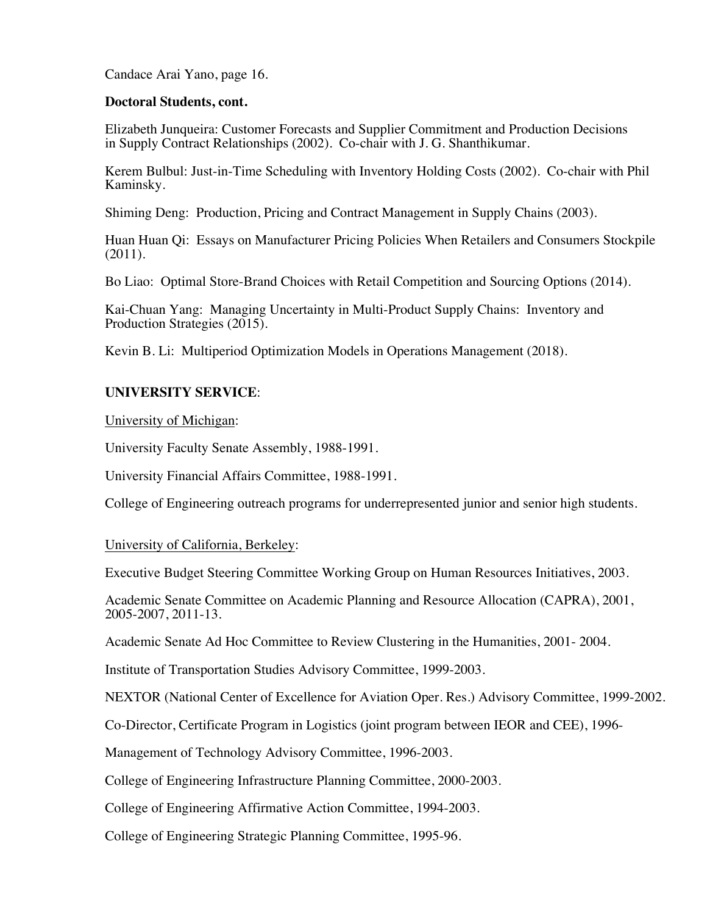#### **Doctoral Students, cont.**

Elizabeth Junqueira: Customer Forecasts and Supplier Commitment and Production Decisions in Supply Contract Relationships (2002). Co-chair with J. G. Shanthikumar.

Kerem Bulbul: Just-in-Time Scheduling with Inventory Holding Costs (2002). Co-chair with Phil Kaminsky.

Shiming Deng: Production, Pricing and Contract Management in Supply Chains (2003).

Huan Huan Qi: Essays on Manufacturer Pricing Policies When Retailers and Consumers Stockpile (2011).

Bo Liao: Optimal Store-Brand Choices with Retail Competition and Sourcing Options (2014).

Kai-Chuan Yang: Managing Uncertainty in Multi-Product Supply Chains: Inventory and Production Strategies (2015).

Kevin B. Li: Multiperiod Optimization Models in Operations Management (2018).

# **UNIVERSITY SERVICE**:

University of Michigan:

University Faculty Senate Assembly, 1988-1991.

University Financial Affairs Committee, 1988-1991.

College of Engineering outreach programs for underrepresented junior and senior high students.

University of California, Berkeley:

Executive Budget Steering Committee Working Group on Human Resources Initiatives, 2003.

Academic Senate Committee on Academic Planning and Resource Allocation (CAPRA), 2001, 2005-2007, 2011-13.

Academic Senate Ad Hoc Committee to Review Clustering in the Humanities, 2001- 2004.

Institute of Transportation Studies Advisory Committee, 1999-2003.

NEXTOR (National Center of Excellence for Aviation Oper. Res.) Advisory Committee, 1999-2002.

Co-Director, Certificate Program in Logistics (joint program between IEOR and CEE), 1996-

Management of Technology Advisory Committee, 1996-2003.

College of Engineering Infrastructure Planning Committee, 2000-2003.

College of Engineering Affirmative Action Committee, 1994-2003.

College of Engineering Strategic Planning Committee, 1995-96.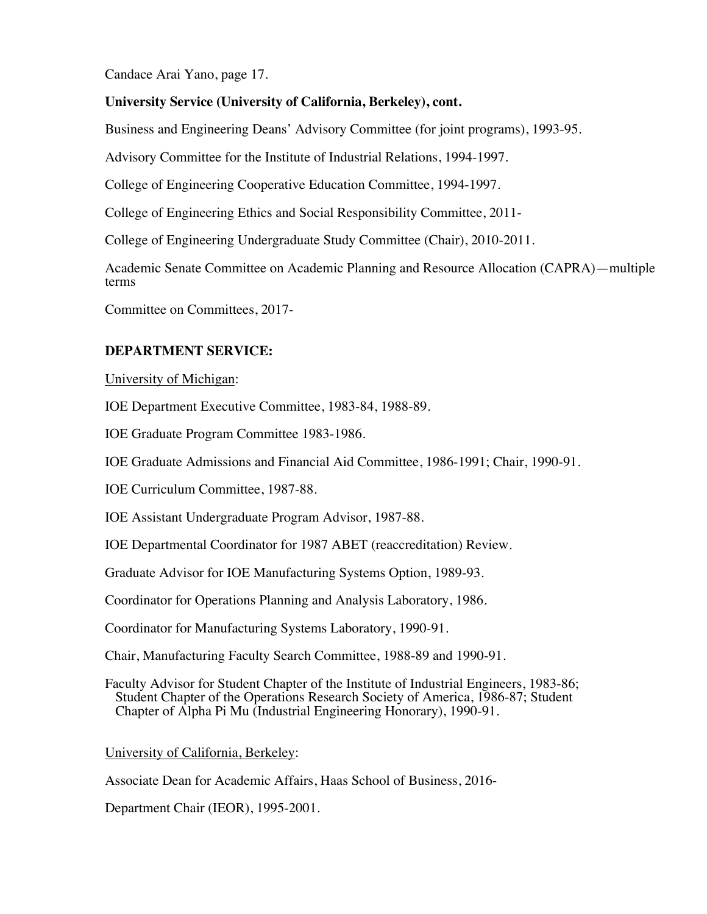# **University Service (University of California, Berkeley), cont.**

Business and Engineering Deans' Advisory Committee (for joint programs), 1993-95.

Advisory Committee for the Institute of Industrial Relations, 1994-1997.

College of Engineering Cooperative Education Committee, 1994-1997.

College of Engineering Ethics and Social Responsibility Committee, 2011-

College of Engineering Undergraduate Study Committee (Chair), 2010-2011.

Academic Senate Committee on Academic Planning and Resource Allocation (CAPRA)—multiple terms

Committee on Committees, 2017-

# **DEPARTMENT SERVICE:**

University of Michigan:

IOE Department Executive Committee, 1983-84, 1988-89.

IOE Graduate Program Committee 1983-1986.

IOE Graduate Admissions and Financial Aid Committee, 1986-1991; Chair, 1990-91.

IOE Curriculum Committee, 1987-88.

IOE Assistant Undergraduate Program Advisor, 1987-88.

IOE Departmental Coordinator for 1987 ABET (reaccreditation) Review.

Graduate Advisor for IOE Manufacturing Systems Option, 1989-93.

Coordinator for Operations Planning and Analysis Laboratory, 1986.

Coordinator for Manufacturing Systems Laboratory, 1990-91.

Chair, Manufacturing Faculty Search Committee, 1988-89 and 1990-91.

Faculty Advisor for Student Chapter of the Institute of Industrial Engineers, 1983-86; Student Chapter of the Operations Research Society of America, 1986-87; Student Chapter of Alpha Pi Mu (Industrial Engineering Honorary), 1990-91.

University of California, Berkeley:

Associate Dean for Academic Affairs, Haas School of Business, 2016-

Department Chair (IEOR), 1995-2001.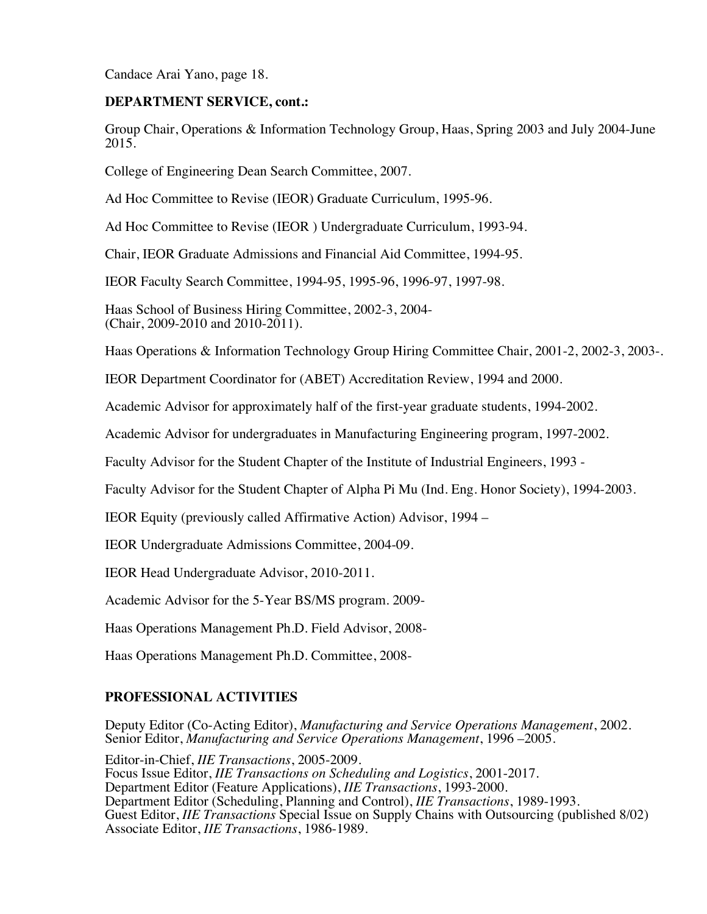#### **DEPARTMENT SERVICE, cont.:**

Group Chair, Operations & Information Technology Group, Haas, Spring 2003 and July 2004-June 2015.

College of Engineering Dean Search Committee, 2007.

Ad Hoc Committee to Revise (IEOR) Graduate Curriculum, 1995-96.

Ad Hoc Committee to Revise (IEOR ) Undergraduate Curriculum, 1993-94.

Chair, IEOR Graduate Admissions and Financial Aid Committee, 1994-95.

IEOR Faculty Search Committee, 1994-95, 1995-96, 1996-97, 1997-98.

Haas School of Business Hiring Committee, 2002-3, 2004- (Chair, 2009-2010 and 2010-2011).

Haas Operations & Information Technology Group Hiring Committee Chair, 2001-2, 2002-3, 2003-.

IEOR Department Coordinator for (ABET) Accreditation Review, 1994 and 2000.

Academic Advisor for approximately half of the first-year graduate students, 1994-2002.

Academic Advisor for undergraduates in Manufacturing Engineering program, 1997-2002.

Faculty Advisor for the Student Chapter of the Institute of Industrial Engineers, 1993 -

Faculty Advisor for the Student Chapter of Alpha Pi Mu (Ind. Eng. Honor Society), 1994-2003.

IEOR Equity (previously called Affirmative Action) Advisor, 1994 –

IEOR Undergraduate Admissions Committee, 2004-09.

IEOR Head Undergraduate Advisor, 2010-2011.

Academic Advisor for the 5-Year BS/MS program. 2009-

Haas Operations Management Ph.D. Field Advisor, 2008-

Haas Operations Management Ph.D. Committee, 2008-

# **PROFESSIONAL ACTIVITIES**

Deputy Editor (Co-Acting Editor), *Manufacturing and Service Operations Management*, 2002. Senior Editor, *Manufacturing and Service Operations Management*, 1996 –2005.

Editor-in-Chief, *IIE Transactions*, 2005-2009. Focus Issue Editor, *IIE Transactions on Scheduling and Logistics*, 2001-2017. Department Editor (Feature Applications), *IIE Transactions*, 1993-2000. Department Editor (Scheduling, Planning and Control), *IIE Transactions*, 1989-1993. Guest Editor, *IIE Transactions* Special Issue on Supply Chains with Outsourcing (published 8/02) Associate Editor, *IIE Transactions*, 1986-1989.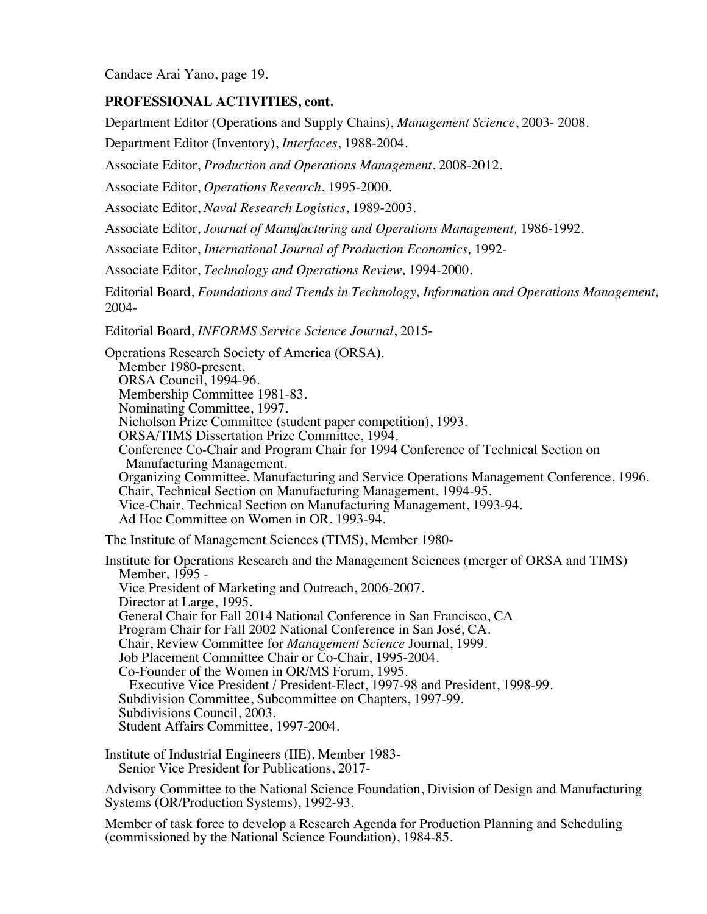## **PROFESSIONAL ACTIVITIES, cont.**

Department Editor (Operations and Supply Chains), *Management Science*, 2003- 2008.

Department Editor (Inventory), *Interfaces*, 1988-2004.

Associate Editor, *Production and Operations Management*, 2008-2012.

Associate Editor, *Operations Research*, 1995-2000.

Associate Editor, *Naval Research Logistics*, 1989-2003.

Associate Editor, *Journal of Manufacturing and Operations Management,* 1986-1992.

Associate Editor, *International Journal of Production Economics,* 1992-

Associate Editor, *Technology and Operations Review,* 1994-2000.

Editorial Board, *Foundations and Trends in Technology, Information and Operations Management,* 2004-

Editorial Board, *INFORMS Service Science Journal*, 2015-

Operations Research Society of America (ORSA). Member 1980-present. ORSA Council, 1994-96. Membership Committee 1981-83. Nominating Committee, 1997. Nicholson Prize Committee (student paper competition), 1993. ORSA/TIMS Dissertation Prize Committee, 1994. Conference Co-Chair and Program Chair for 1994 Conference of Technical Section on Manufacturing Management. Organizing Committee, Manufacturing and Service Operations Management Conference, 1996. Chair, Technical Section on Manufacturing Management, 1994-95. Vice-Chair, Technical Section on Manufacturing Management, 1993-94. Ad Hoc Committee on Women in OR, 1993-94.

The Institute of Management Sciences (TIMS), Member 1980-

Institute for Operations Research and the Management Sciences (merger of ORSA and TIMS) Member, 1995 - Vice President of Marketing and Outreach, 2006-2007. Director at Large, 1995. General Chair for Fall 2014 National Conference in San Francisco, CA Program Chair for Fall 2002 National Conference in San José, CA. Chair, Review Committee for *Management Science* Journal, 1999. Job Placement Committee Chair or Co-Chair, 1995-2004. Co-Founder of the Women in OR/MS Forum, 1995. Executive Vice President / President-Elect, 1997-98 and President, 1998-99. Subdivision Committee, Subcommittee on Chapters, 1997-99. Subdivisions Council, 2003. Student Affairs Committee, 1997-2004.

Institute of Industrial Engineers (IIE), Member 1983- Senior Vice President for Publications, 2017-

Advisory Committee to the National Science Foundation, Division of Design and Manufacturing Systems (OR/Production Systems), 1992-93.

Member of task force to develop a Research Agenda for Production Planning and Scheduling (commissioned by the National Science Foundation), 1984-85.